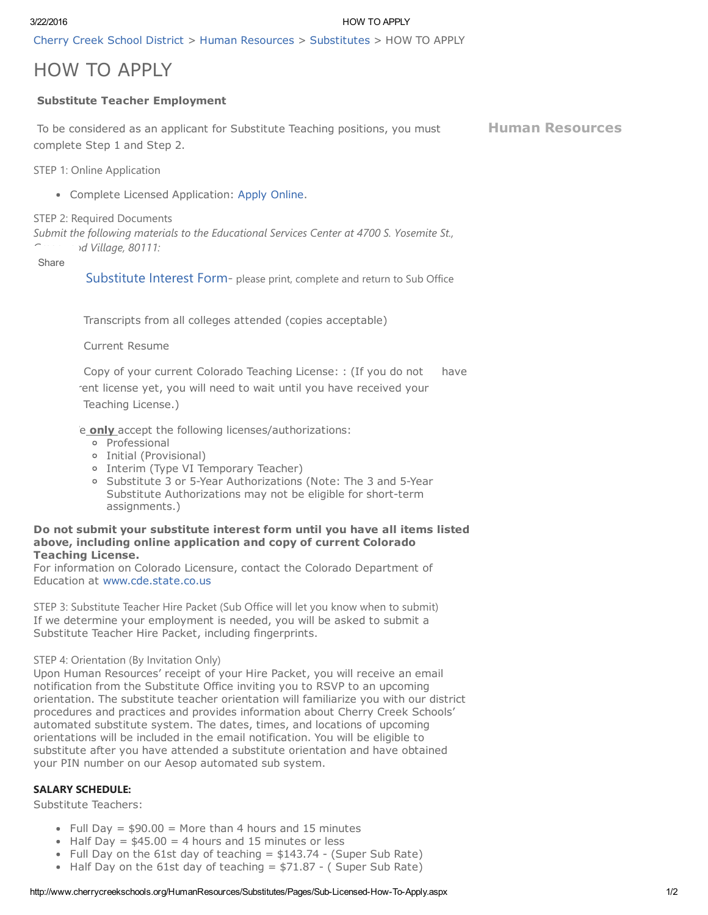3/22/2016 HOW TO APPLY

Cherry Creek School [District](http://www.cherrycreekschools.org/Pages/default.aspx) > Human [Resources](http://www.cherrycreekschools.org/HumanResources/Pages/default.aspx) > [Substitutes](http://www.cherrycreekschools.org/HumanResources/Substitutes/Pages/default.aspx) > HOW TO APPLY

# HOW TO APPLY

# Substitute Teacher Employment

To be considered as an applicant for Substitute Teaching positions, you must complete Step 1 and Step 2.

Human [Resources](http://www.cherrycreekschools.org/HumanResources)

STEP 1: Online Application

Complete Licensed Application: Apply [Online.](https://applyto.cherrycreekschools.org/workspace/)

## STEP 2: Required Documents

*Submit the following materials to the Educational Services Center at 4700 S. Yosemite St., Greenwood Village, 80111:*

Share

[Substitute](http://www.cherrycreekschools.org/HumanResources/Substitutes/Documents/Substitute%20Interest%20Form.pdf) Interest Form- please print, complete and return to Sub Office

Transcripts from all colleges attended (copies acceptable)

Current Resume

4. Copy of your current Colorado Teaching License: : (If you do not have

rent license yet, you will need to wait until you have received your

Teaching License.)

e only accept the following licenses/authorizations:

- o Professional
- Initial (Provisional)
- o Interim (Type VI Temporary Teacher)
- Substitute 3 or 5Year Authorizations (Note: The 3 and 5Year Substitute Authorizations may not be eligible for short-term assignments.)

#### Do not submit your substitute interest form until you have all items listed above, including online application and copy of current Colorado Teaching License.

For information on Colorado Licensure, contact the Colorado Department of Education at [www.cde.state.co.us](http://www.cde.state.co.us/)

STEP 3: Substitute Teacher Hire Packet (Sub Office will let you know when to submit) If we determine your employment is needed, you will be asked to submit a Substitute Teacher Hire Packet, including fingerprints.

## STEP 4: Orientation (By Invitation Only)

Upon Human Resources' receipt of your Hire Packet, you will receive an email notification from the Substitute Office inviting you to RSVP to an upcoming orientation. The substitute teacher orientation will familiarize you with our district procedures and practices and provides information about Cherry Creek Schools' automated substitute system. The dates, times, and locations of upcoming orientations will be included in the email notification. You will be eligible to substitute after you have attended a substitute orientation and have obtained your PIN number on our Aesop automated sub system.

## SALARY SCHEDULE:

Substitute Teachers:

- Full Day  $= $90.00 =$  More than 4 hours and 15 minutes
- Half Day =  $$45.00 = 4$  hours and 15 minutes or less
- Full Day on the 61st day of teaching  $= $143.74$  (Super Sub Rate)
- Half Day on the 61st day of teaching  $= $71.87 (Super Sub Rate)$